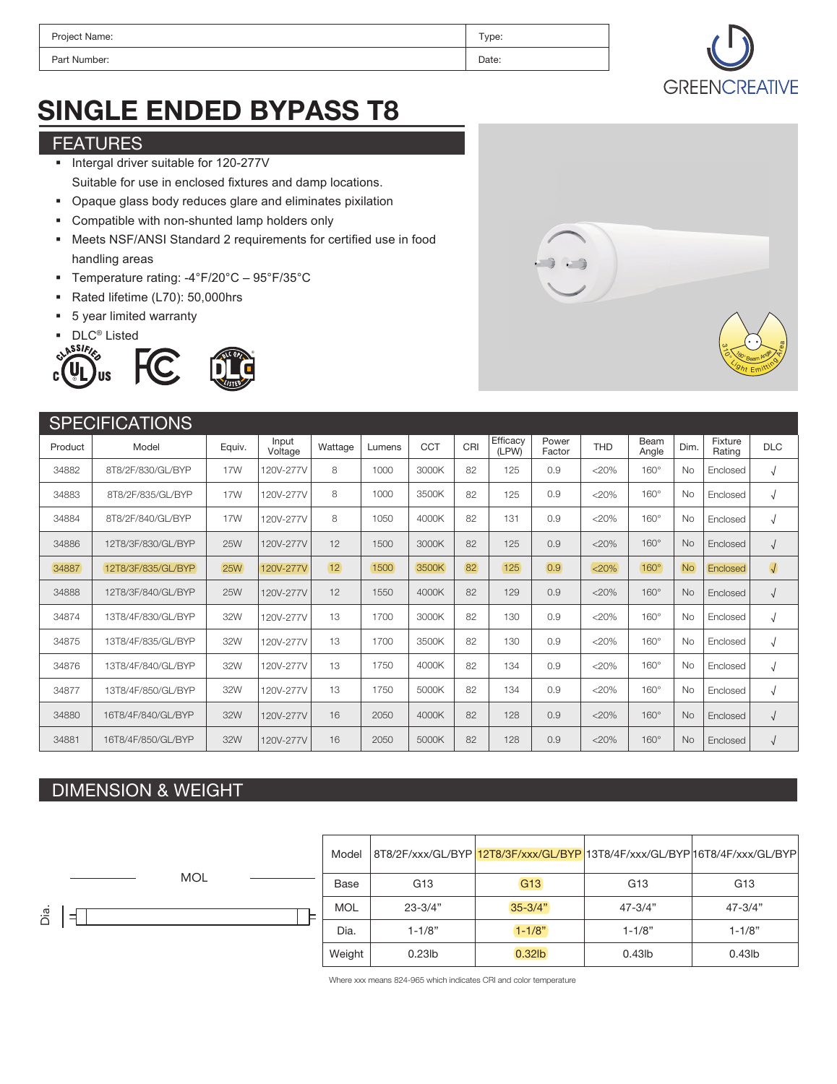| Project Name: | Type: |
|---------------|-------|
| Part Number:  | Date: |



# SINGLE ENDED BYPASS T8

### FEATURES

- Intergal driver suitable for 120-277V Suitable for use in enclosed fixtures and damp locations.
- Opaque glass body reduces glare and eliminates pixilation
- Compatible with non-shunted lamp holders only
- Meets NSF/ANSI Standard 2 requirements for certified use in food handling areas
- Temperature rating: -4°F/20°C 95°F/35°C
- Rated lifetime (L70): 50,000hrs
- 5 year limited warranty







#### **SPECIFICATIONS** 8T8/2F/830/GL/BYP 8T8/2F/835/GL/BYP 8T8/2F/840/GL/BYP 12T8/3F/830/GL/BYP 12T8/3F/835/GL/BYP 12T8/3F/840/GL/BYP 13T8/4F/830/GL/BYP 13T8/4F/835/GL/BYP 13T8/4F/840/GL/BYP 13T8/4F/850/GL/BYP 16T8/4F/840/GL/BYP 16T8/4F/850/GL/BYP 34882 34883 34884 34886 34887 34888 34874 34875 34876 34877 34880 34881 17W 17W 17W 25W 25W 25W 32W 32W 32W 32W 32W 32W <20%  $< 20%$  $20%$  $< 20\%$ <20% <20% <20%  $< 20%$ <20%  $< 20%$ <20%  $20%$ 82 82 82 82 82 82 82 82 82 82 82 82 125 125 131 125 125 129 130 130 134 134 128 128 Product Model Equiv. 0.9 0.9  $0.9$  $0.9$ 0.9 0.9 0.9 0.9 0.9 0.9 0.9  $0.9$ Power Factor Beam **Angle** 8 8 8 12 12 12 13 13 13 13 16 16 Wattage 1000 1000 1050 1500 1500 1550 1700 1700 1750 1750 2050 2050 Lumens 3000K 3500K 4000K 3000K 3500K 4000K 3000K 3500K 4000K 5000K 4000K 5000K  $CCT$  CRI Efficacy (LPW) Factor THD Angle Dim. Rating DLC No No No No No No No No No No No No Dim. 160° 160° 160° 160° 160° 160° 160° 160° 160° 160° 160° 160° 120V-277V 120V-277V 120V-277V 120V-277V 120V-277V 120V-277V 120V-277V 120V-277V 120V-277V 120V-277V 120V-277V 120V-277V Input Voltage Enclosed Enclosed Enclosed Enclosed Enclosed Enclosed Enclosed Enclosed Enclosed Enclosed Enclosed Enclosed Fixture Rating

### DIMENSION & WEIGHT



Where xxx means 824-965 which indicates CRI and color temperature



√ √ √ √  $\sqrt{2}$ √ √ √ √ √ √ √